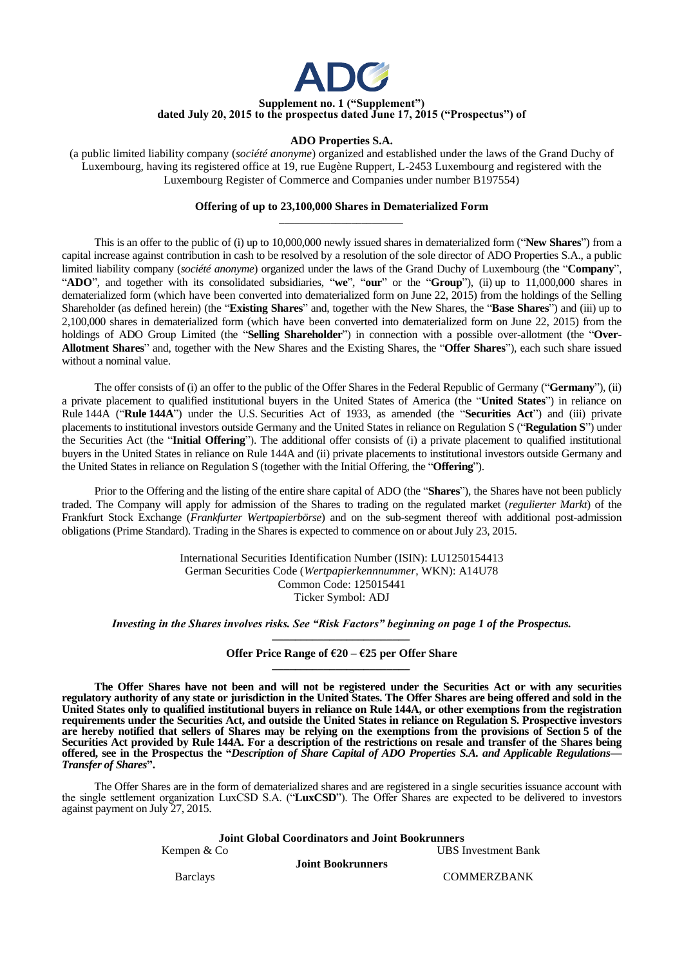

## **Supplement no. 1 ("Supplement") dated July 20, 2015 to the prospectus dated June 17, 2015 ("Prospectus") of**

#### **ADO Properties S.A.**

(a public limited liability company (*société anonyme*) organized and established under the laws of the Grand Duchy of Luxembourg, having its registered office at 19, rue Eugène Ruppert, L-2453 Luxembourg and registered with the Luxembourg Register of Commerce and Companies under number B197554)

#### **Offering of up to 23,100,000 Shares in Dematerialized Form** *\_\_\_\_\_\_\_\_\_\_\_\_\_\_\_\_\_\_\_\_\_\_\_\_*

This is an offer to the public of (i) up to 10,000,000 newly issued shares in dematerialized form ("**New Shares**") from a capital increase against contribution in cash to be resolved by a resolution of the sole director of ADO Properties S.A., a public limited liability company (*société anonyme*) organized under the laws of the Grand Duchy of Luxembourg (the "**Company**", "**ADO**", and together with its consolidated subsidiaries, "**we**", "**our**" or the "**Group**"), (ii) up to 11,000,000 shares in dematerialized form (which have been converted into dematerialized form on June 22, 2015) from the holdings of the Selling Shareholder (as defined herein) (the "**Existing Shares**" and, together with the New Shares, the "**Base Shares**") and (iii) up to 2,100,000 shares in dematerialized form (which have been converted into dematerialized form on June 22, 2015) from the holdings of ADO Group Limited (the "**Selling Shareholder**") in connection with a possible over-allotment (the "**Over-Allotment Shares**" and, together with the New Shares and the Existing Shares, the "**Offer Shares**"), each such share issued without a nominal value.

The offer consists of (i) an offer to the public of the Offer Shares in the Federal Republic of Germany ("**Germany**"), (ii) a private placement to qualified institutional buyers in the United States of America (the "**United States**") in reliance on Rule 144A ("**Rule 144A**") under the U.S. Securities Act of 1933, as amended (the "**Securities Act**") and (iii) private placements to institutional investors outside Germany and the United States in reliance on Regulation S ("**Regulation S**") under the Securities Act (the "**Initial Offering**"). The additional offer consists of (i) a private placement to qualified institutional buyers in the United States in reliance on Rule 144A and (ii) private placements to institutional investors outside Germany and the United States in reliance on Regulation S (together with the Initial Offering, the "**Offering**").

Prior to the Offering and the listing of the entire share capital of ADO (the "**Shares**"), the Shares have not been publicly traded. The Company will apply for admission of the Shares to trading on the regulated market (*regulierter Markt*) of the Frankfurt Stock Exchange (*Frankfurter Wertpapierbörse*) and on the sub-segment thereof with additional post-admission obligations (Prime Standard). Trading in the Shares is expected to commence on or about July 23, 2015.

> International Securities Identification Number (ISIN): LU1250154413 German Securities Code (*Wertpapierkennnummer*, WKN): A14U78 Common Code: 125015441 Ticker Symbol: ADJ

*Investing in the Shares involves risks. See "Risk Factors" beginning on page 1 of the Prospectus. \_\_\_\_\_\_\_\_\_\_\_\_\_\_\_\_\_\_\_\_\_\_\_\_*

#### **Offer Price Range of €20 – €25 per Offer Share** *\_\_\_\_\_\_\_\_\_\_\_\_\_\_\_\_\_\_\_\_\_\_\_\_*

**The Offer Shares have not been and will not be registered under the Securities Act or with any securities regulatory authority of any state or jurisdiction in the United States. The Offer Shares are being offered and sold in the United States only to qualified institutional buyers in reliance on Rule 144A, or other exemptions from the registration requirements under the Securities Act, and outside the United States in reliance on Regulation S. Prospective investors are hereby notified that sellers of Shares may be relying on the exemptions from the provisions of Section 5 of the Securities Act provided by Rule 144A. For a description of the restrictions on resale and transfer of the** S**hares being offered, see in the Prospectus the "***Description of Share Capital of ADO Properties S.A. and Applicable Regulations— Transfer of Shares***".**

The Offer Shares are in the form of dematerialized shares and are registered in a single securities issuance account with the single settlement organization LuxCSD S.A. ("**LuxCSD**"). The Offer Shares are expected to be delivered to investors against payment on July 27, 2015.

| <b>Joint Global Coordinators and Joint Bookrunners</b> |                     |  |  |  |  |  |  |
|--------------------------------------------------------|---------------------|--|--|--|--|--|--|
| Kempen & Co                                            | UBS Investment Bank |  |  |  |  |  |  |
| <b>Joint Bookrunners</b>                               |                     |  |  |  |  |  |  |
| <b>Barclays</b>                                        | <b>COMMERZBANK</b>  |  |  |  |  |  |  |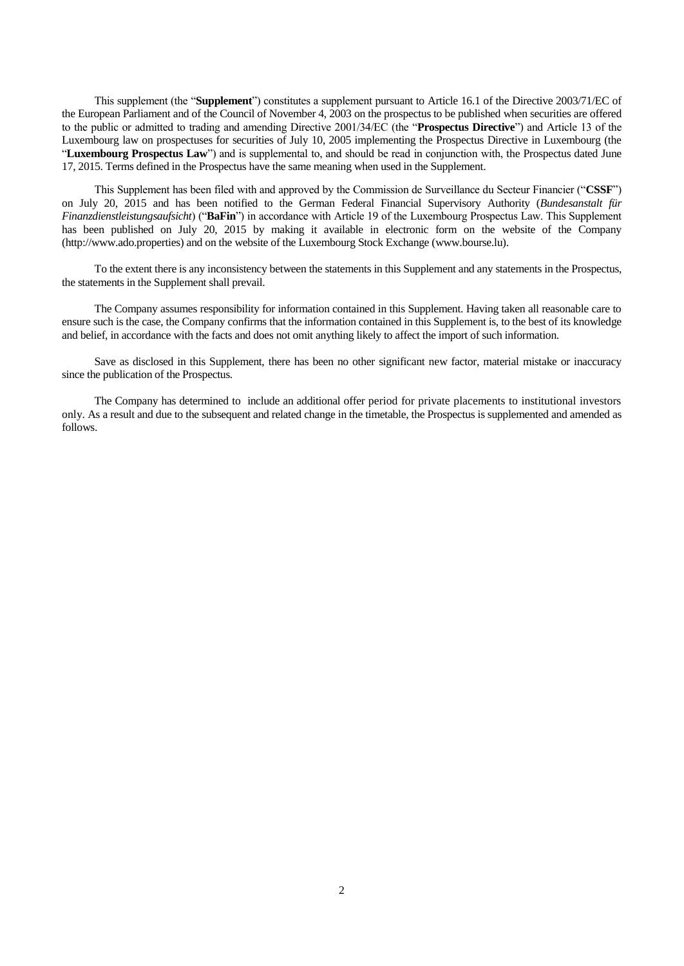This supplement (the "**Supplement**") constitutes a supplement pursuant to Article 16.1 of the Directive 2003/71/EC of the European Parliament and of the Council of November 4, 2003 on the prospectus to be published when securities are offered to the public or admitted to trading and amending Directive 2001/34/EC (the "**Prospectus Directive**") and Article 13 of the Luxembourg law on prospectuses for securities of July 10, 2005 implementing the Prospectus Directive in Luxembourg (the "**Luxembourg Prospectus Law**") and is supplemental to, and should be read in conjunction with, the Prospectus dated June 17, 2015. Terms defined in the Prospectus have the same meaning when used in the Supplement.

This Supplement has been filed with and approved by the Commission de Surveillance du Secteur Financier ("**CSSF**") on July 20, 2015 and has been notified to the German Federal Financial Supervisory Authority (*Bundesanstalt für Finanzdienstleistungsaufsicht*) ("**BaFin**") in accordance with Article 19 of the Luxembourg Prospectus Law. This Supplement has been published on July 20, 2015 by making it available in electronic form on the website of the Company (http://www.ado.properties) and on the website of the Luxembourg Stock Exchange (www.bourse.lu).

To the extent there is any inconsistency between the statements in this Supplement and any statements in the Prospectus, the statements in the Supplement shall prevail.

The Company assumes responsibility for information contained in this Supplement. Having taken all reasonable care to ensure such is the case, the Company confirms that the information contained in this Supplement is, to the best of its knowledge and belief, in accordance with the facts and does not omit anything likely to affect the import of such information.

Save as disclosed in this Supplement, there has been no other significant new factor, material mistake or inaccuracy since the publication of the Prospectus.

The Company has determined to include an additional offer period for private placements to institutional investors only. As a result and due to the subsequent and related change in the timetable, the Prospectus is supplemented and amended as follows.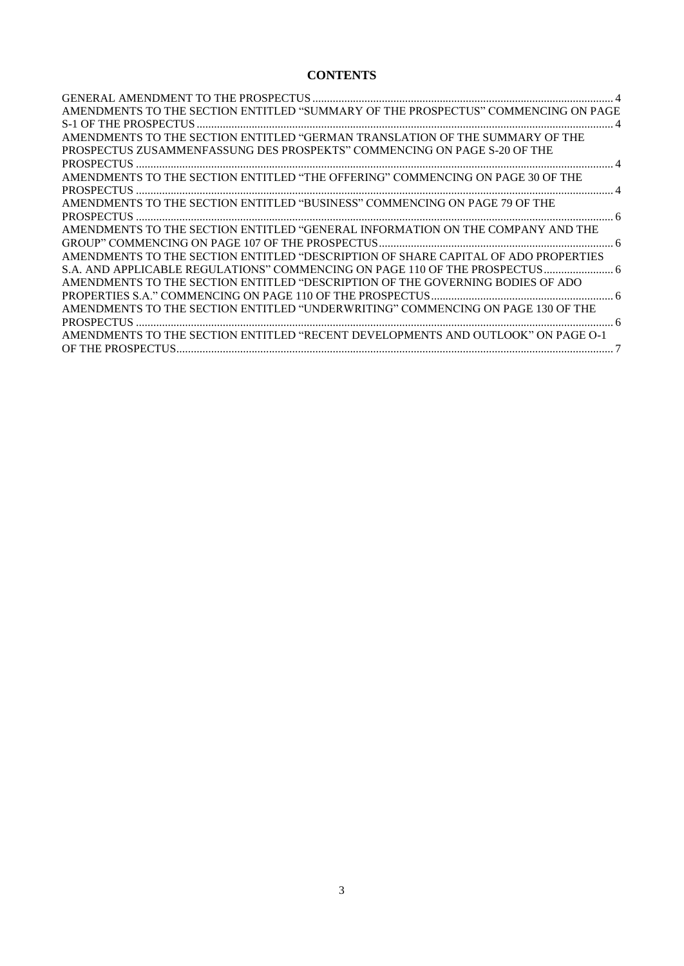# **CONTENTS**

| AMENDMENTS TO THE SECTION ENTITLED "SUMMARY OF THE PROSPECTUS" COMMENCING ON PAGE  |  |
|------------------------------------------------------------------------------------|--|
|                                                                                    |  |
| AMENDMENTS TO THE SECTION ENTITLED "GERMAN TRANSLATION OF THE SUMMARY OF THE       |  |
| PROSPECTUS ZUSAMMENFASSUNG DES PROSPEKTS" COMMENCING ON PAGE S-20 OF THE           |  |
|                                                                                    |  |
| AMENDMENTS TO THE SECTION ENTITLED "THE OFFERING" COMMENCING ON PAGE 30 OF THE     |  |
|                                                                                    |  |
| AMENDMENTS TO THE SECTION ENTITLED "BUSINESS" COMMENCING ON PAGE 79 OF THE         |  |
|                                                                                    |  |
| AMENDMENTS TO THE SECTION ENTITLED "GENERAL INFORMATION ON THE COMPANY AND THE     |  |
|                                                                                    |  |
| AMENDMENTS TO THE SECTION ENTITLED "DESCRIPTION OF SHARE CAPITAL OF ADO PROPERTIES |  |
|                                                                                    |  |
| AMENDMENTS TO THE SECTION ENTITLED "DESCRIPTION OF THE GOVERNING BODIES OF ADO     |  |
|                                                                                    |  |
| AMENDMENTS TO THE SECTION ENTITLED "UNDERWRITING" COMMENCING ON PAGE 130 OF THE    |  |
|                                                                                    |  |
| AMENDMENTS TO THE SECTION ENTITLED "RECENT DEVELOPMENTS AND OUTLOOK" ON PAGE O-1   |  |
|                                                                                    |  |
|                                                                                    |  |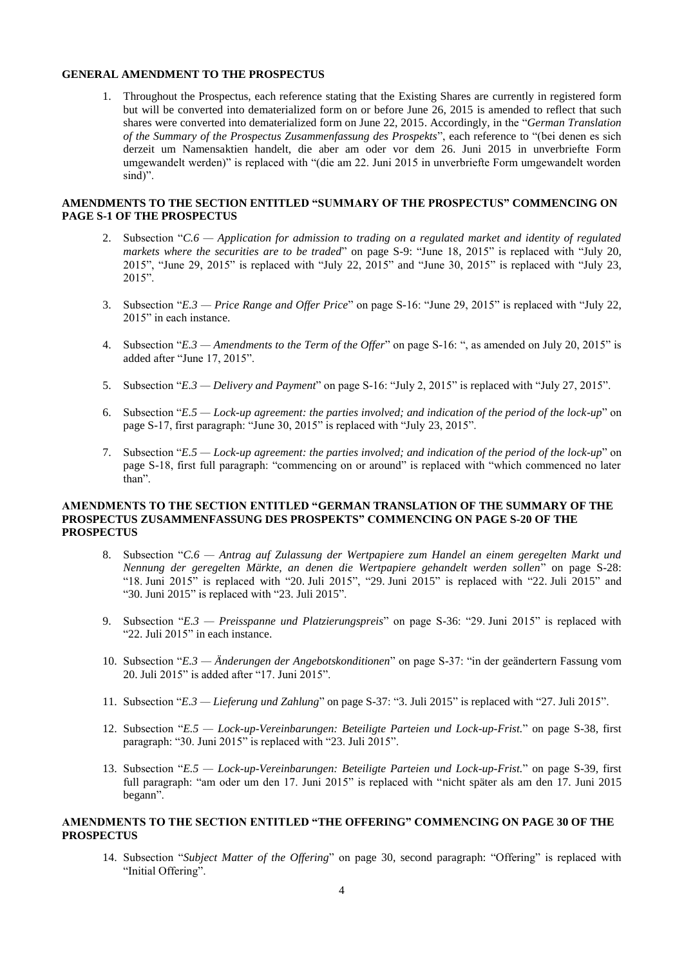#### <span id="page-3-0"></span>**GENERAL AMENDMENT TO THE PROSPECTUS**

1. Throughout the Prospectus, each reference stating that the Existing Shares are currently in registered form but will be converted into dematerialized form on or before June 26, 2015 is amended to reflect that such shares were converted into dematerialized form on June 22, 2015. Accordingly, in the "*German Translation of the Summary of the Prospectus Zusammenfassung des Prospekts*", each reference to "(bei denen es sich derzeit um Namensaktien handelt, die aber am oder vor dem 26. Juni 2015 in unverbriefte Form umgewandelt werden)" is replaced with "(die am 22. Juni 2015 in unverbriefte Form umgewandelt worden sind)".

#### <span id="page-3-1"></span>**AMENDMENTS TO THE SECTION ENTITLED "SUMMARY OF THE PROSPECTUS" COMMENCING ON PAGE S-1 OF THE PROSPECTUS**

- 2. Subsection "*C.6 — Application for admission to trading on a regulated market and identity of regulated markets where the securities are to be traded*" on page S-9: "June 18, 2015" is replaced with "July 20, 2015", "June 29, 2015" is replaced with "July 22, 2015" and "June 30, 2015" is replaced with "July 23, 2015".
- 3. Subsection "*E.3 — Price Range and Offer Price*" on page S-16: "June 29, 2015" is replaced with "July 22, 2015" in each instance.
- 4. Subsection "*E.3 — Amendments to the Term of the Offer*" on page S-16: ", as amended on July 20, 2015" is added after "June 17, 2015".
- 5. Subsection "*E.3 — Delivery and Payment*" on page S-16: "July 2, 2015" is replaced with "July 27, 2015".
- 6. Subsection "*E.5 — Lock-up agreement: the parties involved; and indication of the period of the lock-up*" on page S-17, first paragraph: "June 30, 2015" is replaced with "July 23, 2015".
- 7. Subsection "*E.5 — Lock-up agreement: the parties involved; and indication of the period of the lock-up*" on page S-18, first full paragraph: "commencing on or around" is replaced with "which commenced no later than".

#### <span id="page-3-2"></span>**AMENDMENTS TO THE SECTION ENTITLED "GERMAN TRANSLATION OF THE SUMMARY OF THE PROSPECTUS ZUSAMMENFASSUNG DES PROSPEKTS" COMMENCING ON PAGE S-20 OF THE PROSPECTUS**

- 8. Subsection "*C.6 — Antrag auf Zulassung der Wertpapiere zum Handel an einem geregelten Markt und Nennung der geregelten Märkte, an denen die Wertpapiere gehandelt werden sollen*" on page S-28: "18. Juni 2015" is replaced with "20. Juli 2015", "29. Juni 2015" is replaced with "22. Juli 2015" and "30. Juni 2015" is replaced with "23. Juli 2015".
- 9. Subsection "*E.3 — Preisspanne und Platzierungspreis*" on page S-36: "29. Juni 2015" is replaced with "22. Juli 2015" in each instance.
- 10. Subsection "*E.3 — Änderungen der Angebotskonditionen*" on page S-37: "in der geändertern Fassung vom 20. Juli 2015" is added after "17. Juni 2015".
- 11. Subsection "*E.3 — Lieferung und Zahlung*" on page S-37: "3. Juli 2015" is replaced with "27. Juli 2015".
- 12. Subsection "*E.5 — Lock-up-Vereinbarungen: Beteiligte Parteien und Lock-up-Frist.*" on page S-38, first paragraph: "30. Juni 2015" is replaced with "23. Juli 2015".
- 13. Subsection "*E.5 — Lock-up-Vereinbarungen: Beteiligte Parteien und Lock-up-Frist.*" on page S-39, first full paragraph: "am oder um den 17. Juni 2015" is replaced with "nicht später als am den 17. Juni 2015 begann".

# <span id="page-3-3"></span>**AMENDMENTS TO THE SECTION ENTITLED "THE OFFERING" COMMENCING ON PAGE 30 OF THE PROSPECTUS**

14. Subsection "*Subject Matter of the Offering*" on page 30, second paragraph: "Offering" is replaced with "Initial Offering".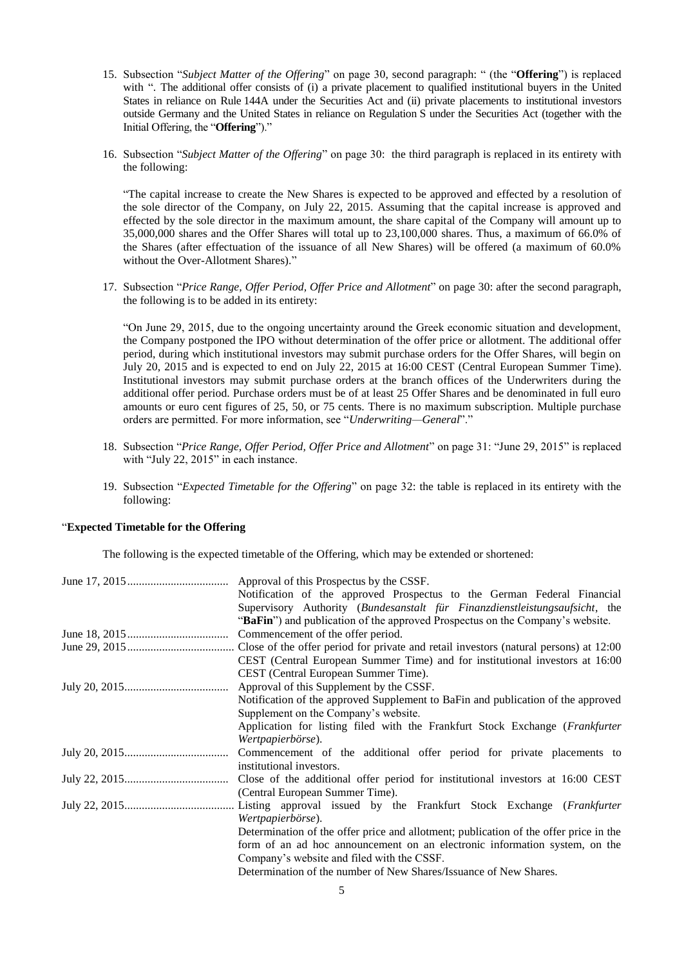- 15. Subsection "*Subject Matter of the Offering*" on page 30, second paragraph: " (the "**Offering**") is replaced with ". The additional offer consists of (i) a private placement to qualified institutional buyers in the United States in reliance on Rule 144A under the Securities Act and (ii) private placements to institutional investors outside Germany and the United States in reliance on Regulation S under the Securities Act (together with the Initial Offering, the "**Offering**")."
- 16. Subsection "*Subject Matter of the Offering*" on page 30: the third paragraph is replaced in its entirety with the following:

"The capital increase to create the New Shares is expected to be approved and effected by a resolution of the sole director of the Company, on July 22, 2015. Assuming that the capital increase is approved and effected by the sole director in the maximum amount, the share capital of the Company will amount up to 35,000,000 shares and the Offer Shares will total up to 23,100,000 shares. Thus, a maximum of 66.0% of the Shares (after effectuation of the issuance of all New Shares) will be offered (a maximum of 60.0% without the Over-Allotment Shares)."

17. Subsection "*Price Range, Offer Period, Offer Price and Allotment*" on page 30: after the second paragraph, the following is to be added in its entirety:

"On June 29, 2015, due to the ongoing uncertainty around the Greek economic situation and development, the Company postponed the IPO without determination of the offer price or allotment. The additional offer period, during which institutional investors may submit purchase orders for the Offer Shares, will begin on July 20, 2015 and is expected to end on July 22, 2015 at 16:00 CEST (Central European Summer Time). Institutional investors may submit purchase orders at the branch offices of the Underwriters during the additional offer period. Purchase orders must be of at least 25 Offer Shares and be denominated in full euro amounts or euro cent figures of 25, 50, or 75 cents. There is no maximum subscription. Multiple purchase orders are permitted. For more information, see "*Underwriting—General*"."

- 18. Subsection "*Price Range, Offer Period, Offer Price and Allotment*" on page 31: "June 29, 2015" is replaced with "July 22, 2015" in each instance.
- 19. Subsection "*Expected Timetable for the Offering*" on page 32: the table is replaced in its entirety with the following:

# "**Expected Timetable for the Offering**

The following is the expected timetable of the Offering, which may be extended or shortened:

| Approval of this Prospectus by the CSSF.                                              |  |  |  |  |  |  |  |
|---------------------------------------------------------------------------------------|--|--|--|--|--|--|--|
| Notification of the approved Prospectus to the German Federal Financial               |  |  |  |  |  |  |  |
| Supervisory Authority (Bundesanstalt für Finanzdienstleistungsaufsicht, the           |  |  |  |  |  |  |  |
| "BaFin") and publication of the approved Prospectus on the Company's website.         |  |  |  |  |  |  |  |
| Commencement of the offer period.                                                     |  |  |  |  |  |  |  |
|                                                                                       |  |  |  |  |  |  |  |
| CEST (Central European Summer Time) and for institutional investors at 16:00          |  |  |  |  |  |  |  |
| CEST (Central European Summer Time).                                                  |  |  |  |  |  |  |  |
| Approval of this Supplement by the CSSF.                                              |  |  |  |  |  |  |  |
| Notification of the approved Supplement to BaFin and publication of the approved      |  |  |  |  |  |  |  |
| Supplement on the Company's website.                                                  |  |  |  |  |  |  |  |
| Application for listing filed with the Frankfurt Stock Exchange (Frankfurter          |  |  |  |  |  |  |  |
| Wertpapierbörse).                                                                     |  |  |  |  |  |  |  |
| Commencement of the additional offer period for private placements to                 |  |  |  |  |  |  |  |
| institutional investors.                                                              |  |  |  |  |  |  |  |
| Close of the additional offer period for institutional investors at 16:00 CEST        |  |  |  |  |  |  |  |
| (Central European Summer Time).                                                       |  |  |  |  |  |  |  |
|                                                                                       |  |  |  |  |  |  |  |
| Wertpapierbörse).                                                                     |  |  |  |  |  |  |  |
| Determination of the offer price and allotment; publication of the offer price in the |  |  |  |  |  |  |  |
| form of an ad hoc announcement on an electronic information system, on the            |  |  |  |  |  |  |  |
| Company's website and filed with the CSSF.                                            |  |  |  |  |  |  |  |
| Determination of the number of New Shares/Issuance of New Shares.                     |  |  |  |  |  |  |  |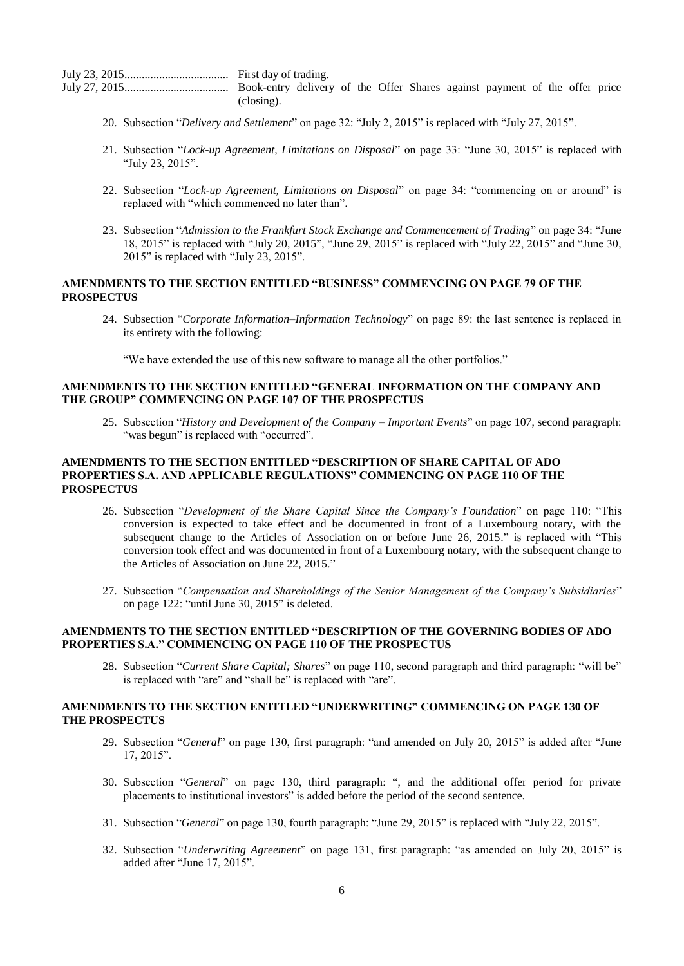| $\left( \text{closing} \right)$ . |  |  |  |  |  |  |  |  |  |  |  |
|-----------------------------------|--|--|--|--|--|--|--|--|--|--|--|

- 20. Subsection "*Delivery and Settlement*" on page 32: "July 2, 2015" is replaced with "July 27, 2015".
- 21. Subsection "*Lock-up Agreement, Limitations on Disposal*" on page 33: "June 30, 2015" is replaced with "July 23, 2015".
- 22. Subsection "*Lock-up Agreement, Limitations on Disposal*" on page 34: "commencing on or around" is replaced with "which commenced no later than".
- 23. Subsection "*Admission to the Frankfurt Stock Exchange and Commencement of Trading*" on page 34: "June 18, 2015" is replaced with "July 20, 2015", "June 29, 2015" is replaced with "July 22, 2015" and "June 30, 2015" is replaced with "July 23, 2015".

## <span id="page-5-0"></span>**AMENDMENTS TO THE SECTION ENTITLED "BUSINESS" COMMENCING ON PAGE 79 OF THE PROSPECTUS**

24. Subsection "*Corporate Information*–*Information Technology*" on page 89: the last sentence is replaced in its entirety with the following:

"We have extended the use of this new software to manage all the other portfolios."

#### <span id="page-5-1"></span>**AMENDMENTS TO THE SECTION ENTITLED "GENERAL INFORMATION ON THE COMPANY AND THE GROUP" COMMENCING ON PAGE 107 OF THE PROSPECTUS**

25. Subsection "*History and Development of the Company – Important Events*" on page 107, second paragraph: "was begun" is replaced with "occurred".

# <span id="page-5-2"></span>**AMENDMENTS TO THE SECTION ENTITLED "DESCRIPTION OF SHARE CAPITAL OF ADO PROPERTIES S.A. AND APPLICABLE REGULATIONS" COMMENCING ON PAGE 110 OF THE PROSPECTUS**

- 26. Subsection "*Development of the Share Capital Since the Company's Foundation*" on page 110: "This conversion is expected to take effect and be documented in front of a Luxembourg notary, with the subsequent change to the Articles of Association on or before June 26, 2015." is replaced with "This conversion took effect and was documented in front of a Luxembourg notary, with the subsequent change to the Articles of Association on June 22, 2015."
- 27. Subsection "*Compensation and Shareholdings of the Senior Management of the Company's Subsidiaries*" on page 122: "until June 30, 2015" is deleted.

# <span id="page-5-3"></span>**AMENDMENTS TO THE SECTION ENTITLED "DESCRIPTION OF THE GOVERNING BODIES OF ADO PROPERTIES S.A." COMMENCING ON PAGE 110 OF THE PROSPECTUS**

28. Subsection "*Current Share Capital; Shares*" on page 110, second paragraph and third paragraph: "will be" is replaced with "are" and "shall be" is replaced with "are".

#### <span id="page-5-4"></span>**AMENDMENTS TO THE SECTION ENTITLED "UNDERWRITING" COMMENCING ON PAGE 130 OF THE PROSPECTUS**

- 29. Subsection "*General*" on page 130, first paragraph: "and amended on July 20, 2015" is added after "June 17, 2015".
- 30. Subsection "*General*" on page 130, third paragraph: ", and the additional offer period for private placements to institutional investors" is added before the period of the second sentence.
- 31. Subsection "*General*" on page 130, fourth paragraph: "June 29, 2015" is replaced with "July 22, 2015".
- 32. Subsection "*Underwriting Agreement*" on page 131, first paragraph: "as amended on July 20, 2015" is added after "June 17, 2015".